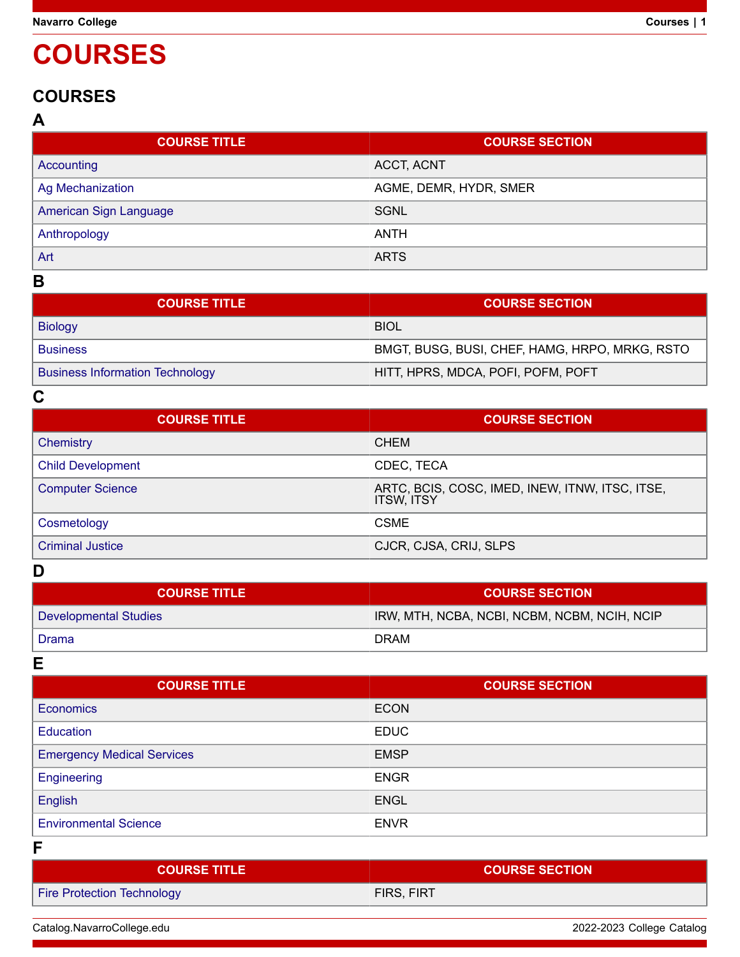# **COURSES**

## **COURSES**

### **A**

| <b>COURSE TITLE</b>     | <b>COURSE SECTION</b>  |
|-------------------------|------------------------|
| Accounting              | ACCT, ACNT             |
| <b>Ag Mechanization</b> | AGME, DEMR, HYDR, SMER |
| American Sign Language  | SGNL                   |
| Anthropology            | ANTH                   |
| Art                     | <b>ARTS</b>            |

## **B**

| <b>COURSE TITLE</b>                    | <b>COURSE SECTION</b>                          |
|----------------------------------------|------------------------------------------------|
| <b>Biology</b>                         | <b>BIOL</b>                                    |
| <b>Business</b>                        | BMGT, BUSG, BUSI, CHEF, HAMG, HRPO, MRKG, RSTO |
| <b>Business Information Technology</b> | HITT, HPRS, MDCA, POFI, POFM, POFT             |

**C**

| <b>COURSE TITLE</b>      | <b>COURSE SECTION</b>                                                |
|--------------------------|----------------------------------------------------------------------|
| Chemistry                | <b>CHEM</b>                                                          |
| <b>Child Development</b> | CDEC, TECA                                                           |
| <b>Computer Science</b>  | ARTC, BCIS, COSC, IMED, INEW, ITNW, ITSC, ITSE,<br><b>ITSW, ITSY</b> |
| Cosmetology              | <b>CSME</b>                                                          |
| <b>Criminal Justice</b>  | CJCR, CJSA, CRIJ, SLPS                                               |

### **D**

| <b>COURSE TITLE</b>   | <b>COURSE SECTION</b>                        |
|-----------------------|----------------------------------------------|
| Developmental Studies | IRW, MTH, NCBA, NCBI, NCBM, NCBM, NCIH, NCIP |
| Drama                 | DRAM                                         |

**E**

| <b>COURSE TITLE</b>               | <b>COURSE SECTION</b> |
|-----------------------------------|-----------------------|
| <b>Economics</b>                  | <b>ECON</b>           |
| <b>Education</b>                  | <b>EDUC</b>           |
| <b>Emergency Medical Services</b> | <b>EMSP</b>           |
| Engineering                       | <b>ENGR</b>           |
| English                           | <b>ENGL</b>           |
| <b>Environmental Science</b>      | <b>ENVR</b>           |

**F**

| <b>COURSE TITLE \</b>             | <b>COURSE SECTION</b> |
|-----------------------------------|-----------------------|
| <b>Fire Protection Technology</b> | FIRS, FIRT            |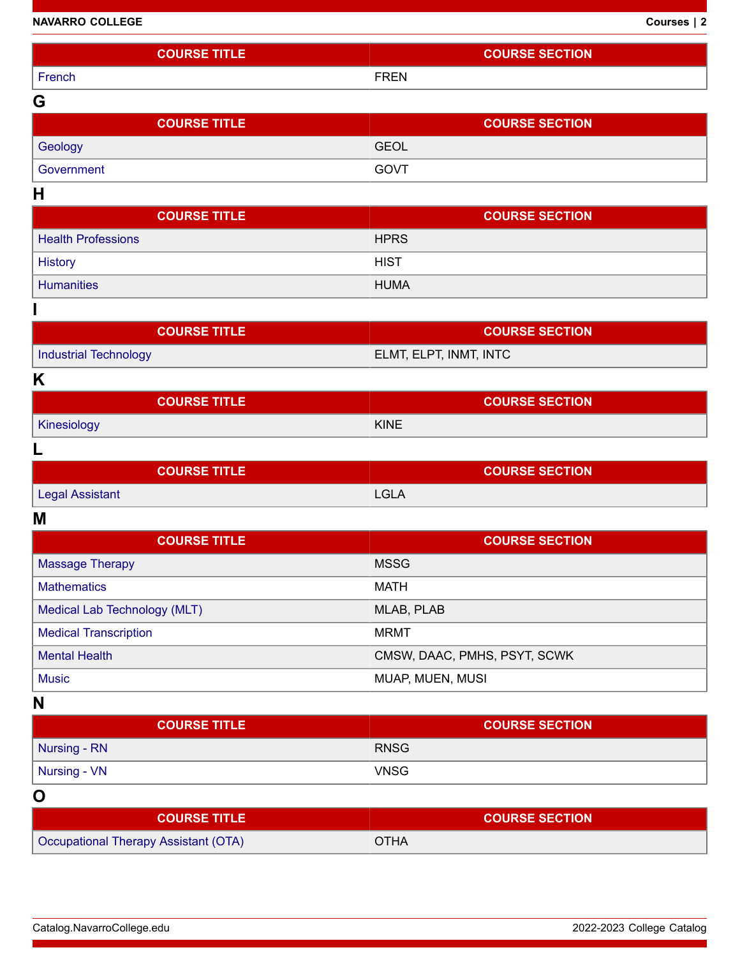| <b>NAVARRO COLLEGE</b> | Courses   2 |
|------------------------|-------------|
|------------------------|-------------|

| <b>COURSE TITLE</b>          | <b>COURSE SECTION</b>        |
|------------------------------|------------------------------|
| French                       | <b>FREN</b>                  |
| G                            |                              |
| <b>COURSE TITLE</b>          | <b>COURSE SECTION</b>        |
| Geology                      | <b>GEOL</b>                  |
| Government                   | GOVT                         |
| H                            |                              |
| <b>COURSE TITLE</b>          | <b>COURSE SECTION</b>        |
| <b>Health Professions</b>    | <b>HPRS</b>                  |
| <b>History</b>               | <b>HIST</b>                  |
| <b>Humanities</b>            | <b>HUMA</b>                  |
|                              |                              |
| <b>COURSE TITLE</b>          | <b>COURSE SECTION</b>        |
| <b>Industrial Technology</b> | ELMT, ELPT, INMT, INTC       |
| K                            |                              |
| <b>COURSE TITLE</b>          | <b>COURSE SECTION</b>        |
| Kinesiology                  | <b>KINE</b>                  |
| L                            |                              |
| <b>COURSE TITLE</b>          | <b>COURSE SECTION</b>        |
| <b>Legal Assistant</b>       | <b>LGLA</b>                  |
| M                            |                              |
| <b>COURSE TITLE</b>          | <b>COURSE SECTION</b>        |
| <b>Massage Therapy</b>       | <b>MSSG</b>                  |
| <b>Mathematics</b>           | <b>MATH</b>                  |
| Medical Lab Technology (MLT) | MLAB, PLAB                   |
| <b>Medical Transcription</b> | <b>MRMT</b>                  |
| <b>Mental Health</b>         | CMSW, DAAC, PMHS, PSYT, SCWK |
| <b>Music</b>                 | MUAP, MUEN, MUSI             |
| N                            |                              |

| <b>COURSE TITLE</b> | <b>COURSE SECTION</b> |
|---------------------|-----------------------|
| Nursing - RN        | <b>RNSG</b>           |
| Nursing - VN        | <b>VNSG</b>           |

**O**

| <b>COURSE TITLE</b>                  | <b>COURSE SECTION</b> |
|--------------------------------------|-----------------------|
| Occupational Therapy Assistant (OTA) | <b>OTHA</b>           |